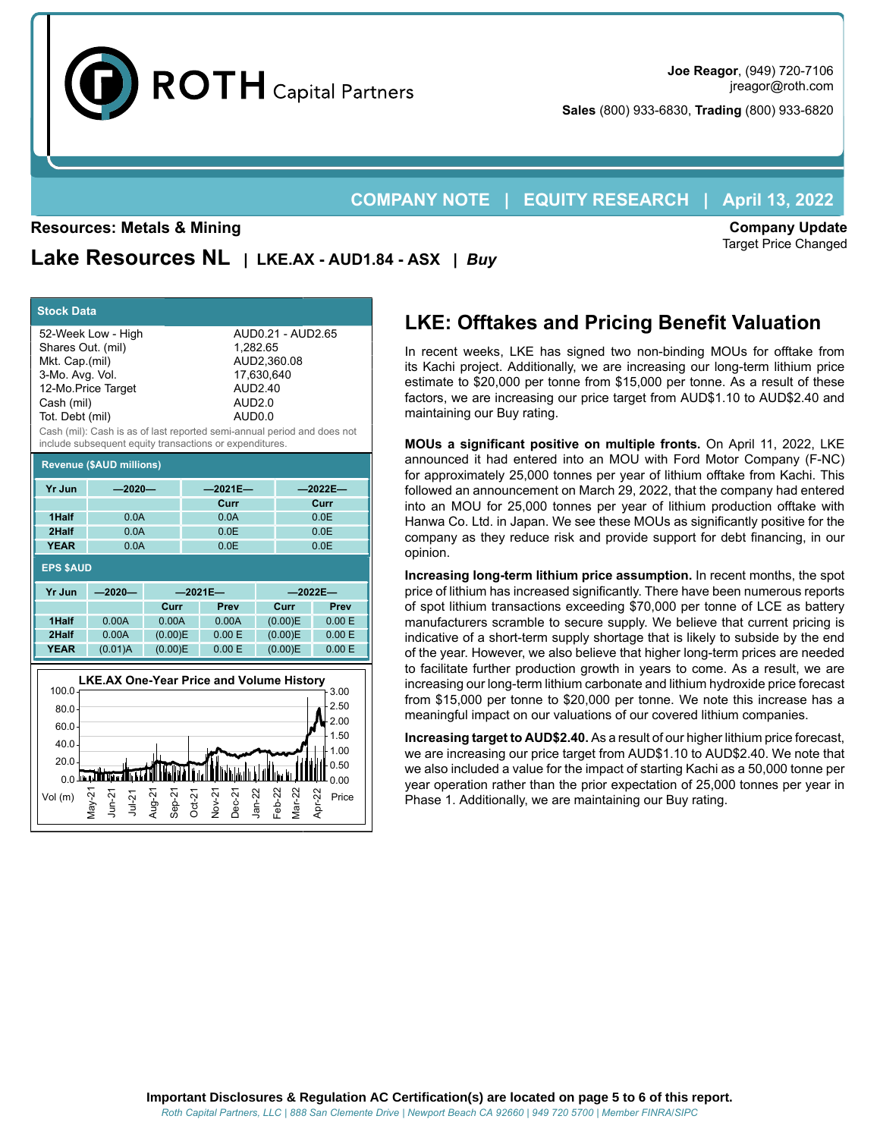

**Sales** (800) 933-6830, **Trading** (800) 933-6820

# **COMPANY NOTE | EQUITY RESEARCH | April 13, 2022**

#### **Resources: Metals & Mining**

**Company Update** Target Price Changed

**Lake Resources NL | LKE.AX - AUD1.84 - ASX |** *Buy*

| <b>Stock Data</b>                                                                                                                                                                              |                                                 |                    |                 |                                                                                                                                                                             |        |                           |                 |  |  |
|------------------------------------------------------------------------------------------------------------------------------------------------------------------------------------------------|-------------------------------------------------|--------------------|-----------------|-----------------------------------------------------------------------------------------------------------------------------------------------------------------------------|--------|---------------------------|-----------------|--|--|
| 52-Week Low - High<br>Shares Out. (mil)<br>Mkt. Cap.(mil)<br>3-Mo. Avg. Vol.<br>12-Mo.Price Target<br>Cash (mil)<br>Tot. Debt (mil)<br>include subsequent equity transactions or expenditures. |                                                 |                    |                 | AUD0.21 - AUD2.65<br>1,282.65<br>AUD2.360.08<br>17,630,640<br>AUD2.40<br><b>AUD2.0</b><br>AUD0.0<br>Cash (mil): Cash is as of last reported semi-annual period and does not |        |                           |                 |  |  |
| <b>Revenue (\$AUD millions)</b>                                                                                                                                                                |                                                 |                    |                 |                                                                                                                                                                             |        |                           |                 |  |  |
| <b>Yr Jun</b>                                                                                                                                                                                  | $-2020-$                                        |                    |                 | $-2021E -$                                                                                                                                                                  |        | $-2022E -$                |                 |  |  |
| 1Half                                                                                                                                                                                          |                                                 |                    |                 | Curr<br>0.0A                                                                                                                                                                |        | Curr<br>0.0E              |                 |  |  |
| 2Half                                                                                                                                                                                          | 0.0A<br>0.0A                                    |                    |                 | 0.0E                                                                                                                                                                        |        | 0.0E                      |                 |  |  |
| <b>YEAR</b>                                                                                                                                                                                    | 0.0A                                            |                    |                 | 0.0E                                                                                                                                                                        |        | 0.0E                      |                 |  |  |
| <b>EPS \$AUD</b>                                                                                                                                                                               |                                                 |                    |                 |                                                                                                                                                                             |        |                           |                 |  |  |
| <b>Yr Jun</b>                                                                                                                                                                                  | $-2020-$                                        | $-2021E -$         |                 |                                                                                                                                                                             |        | $-2022E -$                |                 |  |  |
|                                                                                                                                                                                                |                                                 | Curr               |                 | Prev                                                                                                                                                                        |        | Curr                      | Prev            |  |  |
| 1Half<br>2Half                                                                                                                                                                                 | 0.00A<br>0.00A                                  | 0.00A<br>(0.00)E   | 0.00A<br>0.00 E |                                                                                                                                                                             |        | (0.00)E<br>(0.00)E        | 0.00E<br>0.00 E |  |  |
| <b>YEAR</b>                                                                                                                                                                                    | (0.01)A                                         | (0.00)E            |                 | 0.00 E                                                                                                                                                                      |        | (0.00)E                   | 0.00 E          |  |  |
|                                                                                                                                                                                                |                                                 |                    |                 |                                                                                                                                                                             |        |                           |                 |  |  |
| 100.0                                                                                                                                                                                          | <b>LKE.AX One-Year Price and Volume History</b> |                    |                 |                                                                                                                                                                             |        |                           | 3.00            |  |  |
| 80.0                                                                                                                                                                                           | 2.50                                            |                    |                 |                                                                                                                                                                             |        |                           |                 |  |  |
| 60.0                                                                                                                                                                                           | 2.00                                            |                    |                 |                                                                                                                                                                             |        |                           |                 |  |  |
| 40.0                                                                                                                                                                                           |                                                 |                    |                 |                                                                                                                                                                             |        |                           | 1.50<br>1.00    |  |  |
| 20.0                                                                                                                                                                                           |                                                 |                    |                 |                                                                                                                                                                             |        |                           | 0.50            |  |  |
|                                                                                                                                                                                                | استتلالاتينا و و                                |                    |                 |                                                                                                                                                                             |        |                           | 0.00            |  |  |
| Vol (m)                                                                                                                                                                                        | Vay-21<br>$um-21$<br>$Jul-21$                   | Aug-21<br>$Sep-21$ | $Oct-21$        | Nov-21<br>$Dec-21$                                                                                                                                                          | Jan-22 | $\sqrt{ar-22}$<br>$eb-22$ | Apr-22<br>Price |  |  |
|                                                                                                                                                                                                |                                                 |                    |                 |                                                                                                                                                                             |        |                           |                 |  |  |

# **LKE: Offtakes and Pricing Benefit Valuation**

In recent weeks, LKE has signed two non-binding MOUs for offtake from its Kachi project. Additionally, we are increasing our long-term lithium price estimate to \$20,000 per tonne from \$15,000 per tonne. As a result of these factors, we are increasing our price target from AUD\$1.10 to AUD\$2.40 and maintaining our Buy rating.

**MOUs a significant positive on multiple fronts.** On April 11, 2022, LKE announced it had entered into an MOU with Ford Motor Company (F-NC) for approximately 25,000 tonnes per year of lithium offtake from Kachi. This followed an announcement on March 29, 2022, that the company had entered into an MOU for 25,000 tonnes per year of lithium production offtake with Hanwa Co. Ltd. in Japan. We see these MOUs as significantly positive for the company as they reduce risk and provide support for debt financing, in our opinion.

**Increasing long-term lithium price assumption.** In recent months, the spot price of lithium has increased significantly. There have been numerous reports of spot lithium transactions exceeding \$70,000 per tonne of LCE as battery manufacturers scramble to secure supply. We believe that current pricing is indicative of a short-term supply shortage that is likely to subside by the end of the year. However, we also believe that higher long-term prices are needed to facilitate further production growth in years to come. As a result, we are increasing our long-term lithium carbonate and lithium hydroxide price forecast from \$15,000 per tonne to \$20,000 per tonne. We note this increase has a meaningful impact on our valuations of our covered lithium companies.

**Increasing target to AUD\$2.40.** As a result of our higher lithium price forecast, we are increasing our price target from AUD\$1.10 to AUD\$2.40. We note that we also included a value for the impact of starting Kachi as a 50,000 tonne per year operation rather than the prior expectation of 25,000 tonnes per year in Phase 1. Additionally, we are maintaining our Buy rating.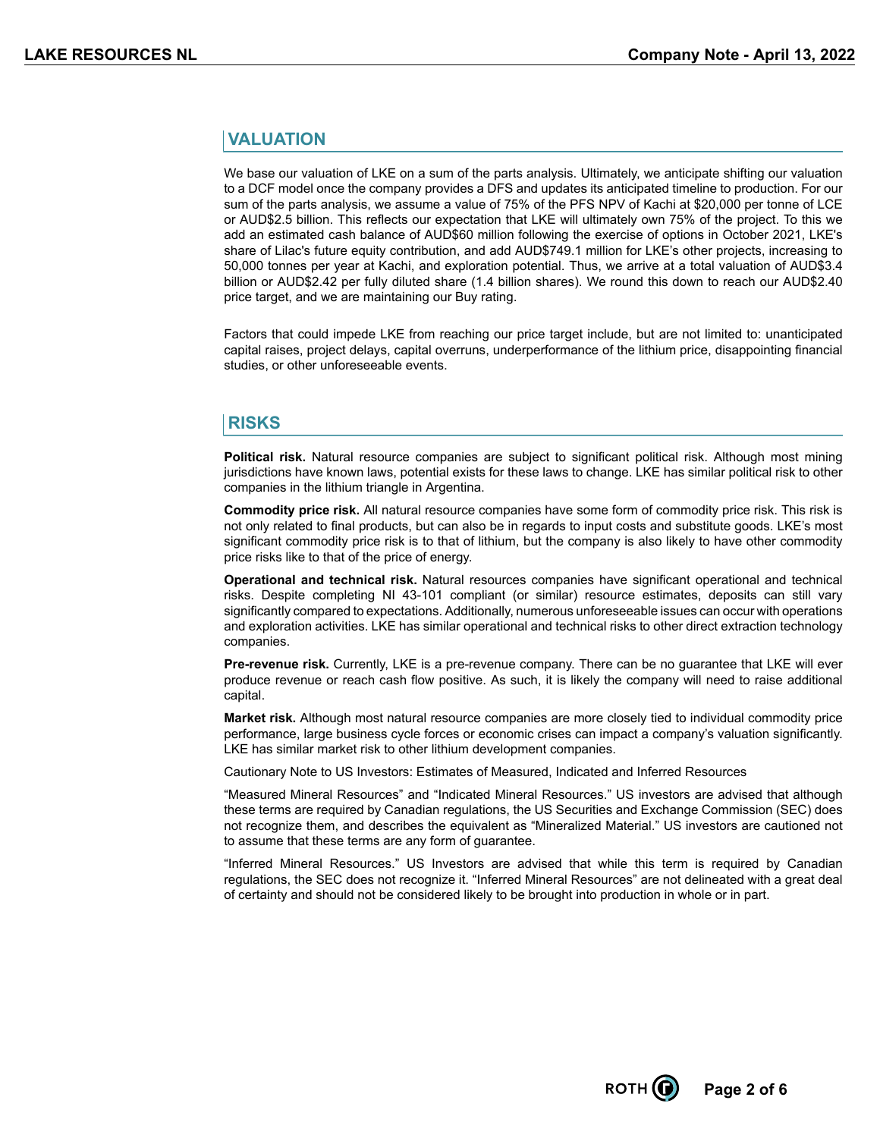### **VALUATION**

We base our valuation of LKE on a sum of the parts analysis. Ultimately, we anticipate shifting our valuation to a DCF model once the company provides a DFS and updates its anticipated timeline to production. For our sum of the parts analysis, we assume a value of 75% of the PFS NPV of Kachi at \$20,000 per tonne of LCE or AUD\$2.5 billion. This reflects our expectation that LKE will ultimately own 75% of the project. To this we add an estimated cash balance of AUD\$60 million following the exercise of options in October 2021, LKE's share of Lilac's future equity contribution, and add AUD\$749.1 million for LKE's other projects, increasing to 50,000 tonnes per year at Kachi, and exploration potential. Thus, we arrive at a total valuation of AUD\$3.4 billion or AUD\$2.42 per fully diluted share (1.4 billion shares). We round this down to reach our AUD\$2.40 price target, and we are maintaining our Buy rating.

Factors that could impede LKE from reaching our price target include, but are not limited to: unanticipated capital raises, project delays, capital overruns, underperformance of the lithium price, disappointing financial studies, or other unforeseeable events.

### **RISKS**

**Political risk.** Natural resource companies are subject to significant political risk. Although most mining jurisdictions have known laws, potential exists for these laws to change. LKE has similar political risk to other companies in the lithium triangle in Argentina.

**Commodity price risk.** All natural resource companies have some form of commodity price risk. This risk is not only related to final products, but can also be in regards to input costs and substitute goods. LKE's most significant commodity price risk is to that of lithium, but the company is also likely to have other commodity price risks like to that of the price of energy.

**Operational and technical risk.** Natural resources companies have significant operational and technical risks. Despite completing NI 43-101 compliant (or similar) resource estimates, deposits can still vary significantly compared to expectations. Additionally, numerous unforeseeable issues can occur with operations and exploration activities. LKE has similar operational and technical risks to other direct extraction technology companies.

**Pre-revenue risk.** Currently, LKE is a pre-revenue company. There can be no guarantee that LKE will ever produce revenue or reach cash flow positive. As such, it is likely the company will need to raise additional capital.

**Market risk.** Although most natural resource companies are more closely tied to individual commodity price performance, large business cycle forces or economic crises can impact a company's valuation significantly. LKE has similar market risk to other lithium development companies.

Cautionary Note to US Investors: Estimates of Measured, Indicated and Inferred Resources

"Measured Mineral Resources" and "Indicated Mineral Resources." US investors are advised that although these terms are required by Canadian regulations, the US Securities and Exchange Commission (SEC) does not recognize them, and describes the equivalent as "Mineralized Material." US investors are cautioned not to assume that these terms are any form of guarantee.

"Inferred Mineral Resources." US Investors are advised that while this term is required by Canadian regulations, the SEC does not recognize it. "Inferred Mineral Resources" are not delineated with a great deal of certainty and should not be considered likely to be brought into production in whole or in part.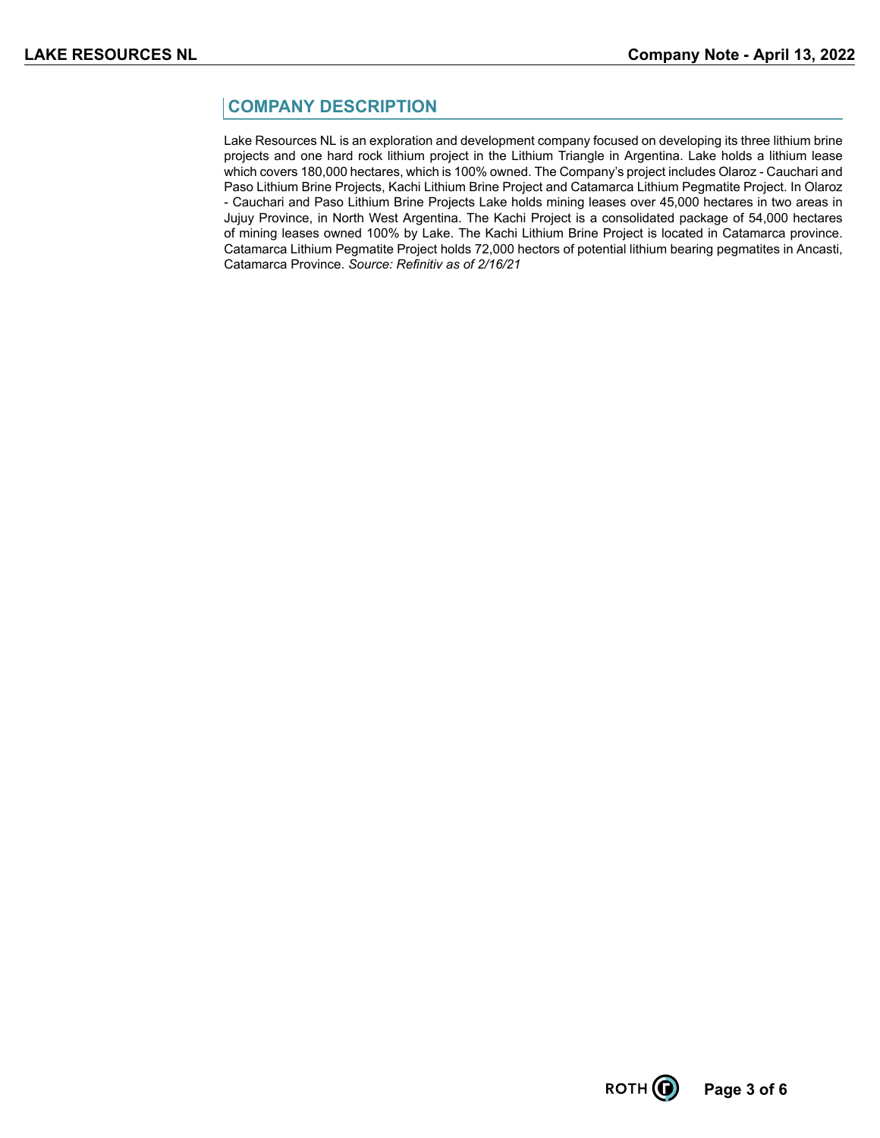## **COMPANY DESCRIPTION**

Lake Resources NL is an exploration and development company focused on developing its three lithium brine projects and one hard rock lithium project in the Lithium Triangle in Argentina. Lake holds a lithium lease which covers 180,000 hectares, which is 100% owned. The Company's project includes Olaroz - Cauchari and Paso Lithium Brine Projects, Kachi Lithium Brine Project and Catamarca Lithium Pegmatite Project. In Olaroz - Cauchari and Paso Lithium Brine Projects Lake holds mining leases over 45,000 hectares in two areas in Jujuy Province, in North West Argentina. The Kachi Project is a consolidated package of 54,000 hectares of mining leases owned 100% by Lake. The Kachi Lithium Brine Project is located in Catamarca province. Catamarca Lithium Pegmatite Project holds 72,000 hectors of potential lithium bearing pegmatites in Ancasti, Catamarca Province. *Source: Refinitiv as of 2/16/21*

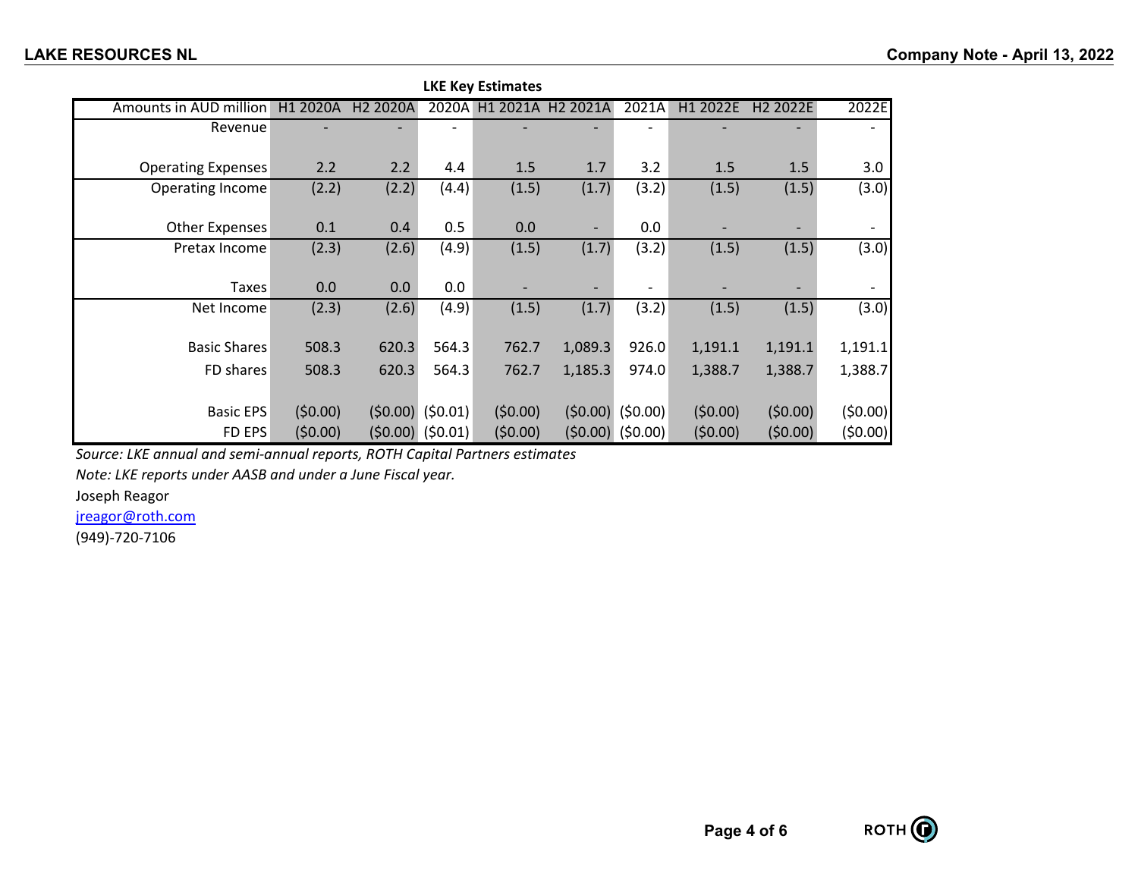| <b>LKE Key Estimates</b>  |          |                      |                    |                |                          |                    |          |                      |         |
|---------------------------|----------|----------------------|--------------------|----------------|--------------------------|--------------------|----------|----------------------|---------|
| Amounts in AUD million    | H1 2020A | H <sub>2</sub> 2020A |                    | 2020A H1 2021A | H <sub>2</sub> 2021A     | 2021A              | H1 2022E | H <sub>2</sub> 2022E | 2022E   |
| Revenue                   |          |                      |                    |                |                          |                    |          |                      |         |
| <b>Operating Expenses</b> | 2.2      | 2.2                  | 4.4                | 1.5            | 1.7                      | 3.2                | 1.5      | 1.5                  | 3.0     |
| Operating Income          | (2.2)    | (2.2)                | (4.4)              | (1.5)          | (1.7)                    | (3.2)              | (1.5)    | (1.5)                | (3.0)   |
| <b>Other Expenses</b>     | 0.1      | 0.4                  | 0.5                | 0.0            | $\overline{\phantom{0}}$ | 0.0                |          | -                    |         |
| Pretax Income             | (2.3)    | (2.6)                | (4.9)              | (1.5)          | (1.7)                    | (3.2)              | (1.5)    | (1.5)                | (3.0)   |
| Taxes                     | 0.0      | 0.0                  | 0.0                |                |                          |                    |          |                      |         |
| Net Income                | (2.3)    | (2.6)                | (4.9)              | (1.5)          | (1.7)                    | (3.2)              | (1.5)    | (1.5)                | (3.0)   |
| <b>Basic Shares</b>       | 508.3    | 620.3                | 564.3              | 762.7          | 1,089.3                  | 926.0              | 1,191.1  | 1,191.1              | 1,191.1 |
| FD shares                 | 508.3    | 620.3                | 564.3              | 762.7          | 1,185.3                  | 974.0              | 1,388.7  | 1,388.7              | 1,388.7 |
| <b>Basic EPS</b>          | (50.00)  |                      | $(50.00)$ (\$0.01) | (50.00)        |                          | $(50.00)$ (\$0.00) | (50.00)  | (50.00)              | (50.00) |
| FD EPS                    | (50.00)  |                      | $(50.00)$ (\$0.01) | (50.00)        |                          | $(50.00)$ (\$0.00) | (50.00)  | (50.00)              | (50.00) |

*Source: LKE annual and semi-annual reports, ROTH Capital Partners estimates*

*Note: LKE reports under AASB and under a June Fiscal year.*

Joseph Reagor

jreagor@roth.com

(949)-720-7106

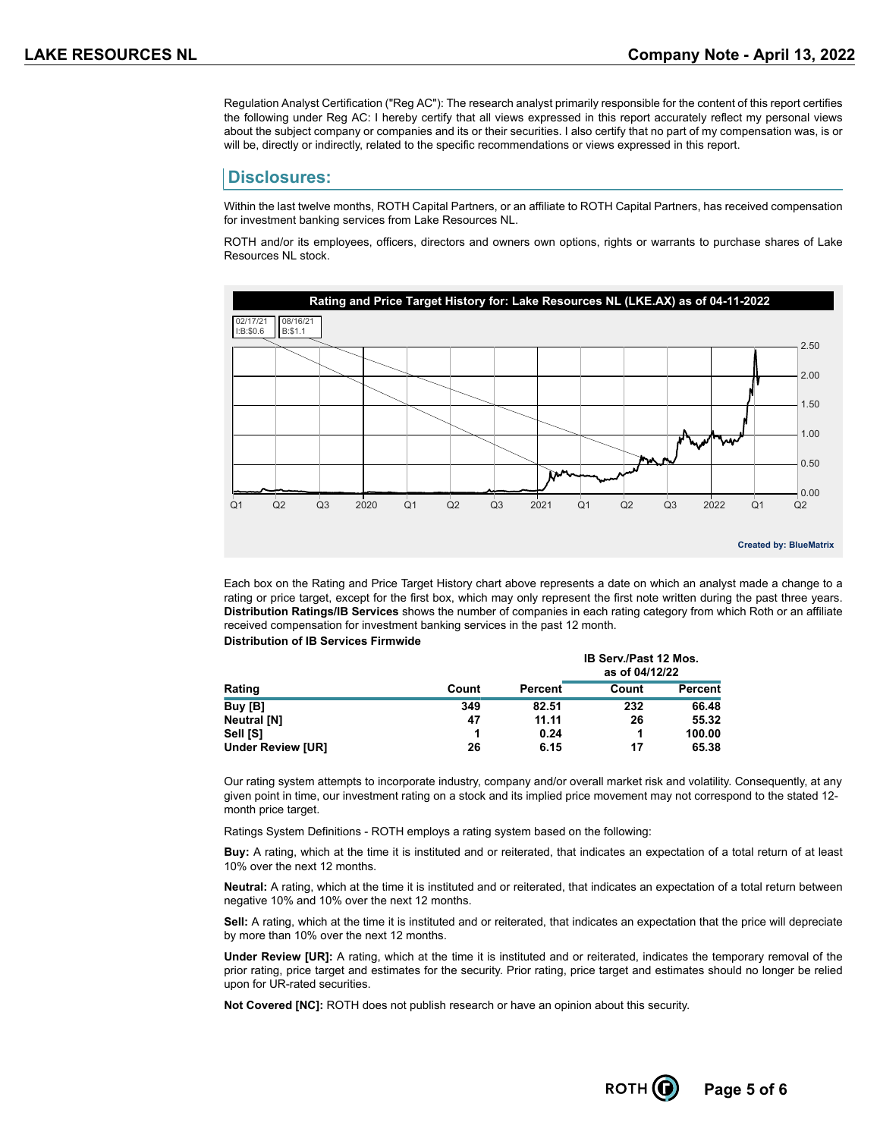Regulation Analyst Certification ("Reg AC"): The research analyst primarily responsible for the content of this report certifies the following under Reg AC: I hereby certify that all views expressed in this report accurately reflect my personal views about the subject company or companies and its or their securities. I also certify that no part of my compensation was, is or will be, directly or indirectly, related to the specific recommendations or views expressed in this report.

#### **Disclosures:**

Within the last twelve months, ROTH Capital Partners, or an affiliate to ROTH Capital Partners, has received compensation for investment banking services from Lake Resources NL.

ROTH and/or its employees, officers, directors and owners own options, rights or warrants to purchase shares of Lake Resources NL stock.



Each box on the Rating and Price Target History chart above represents a date on which an analyst made a change to a rating or price target, except for the first box, which may only represent the first note written during the past three years. **Distribution Ratings/IB Services** shows the number of companies in each rating category from which Roth or an affiliate received compensation for investment banking services in the past 12 month. **Distribution of IB Services Firmwide**

|                          |       |         | <b>IB Serv./Past 12 Mos.</b><br>as of 04/12/22 |                |  |
|--------------------------|-------|---------|------------------------------------------------|----------------|--|
| Rating                   | Count | Percent | Count                                          | <b>Percent</b> |  |
| Buy [B]                  | 349   | 82.51   | 232                                            | 66.48          |  |
| <b>Neutral [N]</b>       | 47    | 11.11   | 26                                             | 55.32          |  |
| Sell [S]                 |       | 0.24    |                                                | 100.00         |  |
| <b>Under Review [UR]</b> | 26    | 6.15    | 17                                             | 65.38          |  |

Our rating system attempts to incorporate industry, company and/or overall market risk and volatility. Consequently, at any given point in time, our investment rating on a stock and its implied price movement may not correspond to the stated 12 month price target.

Ratings System Definitions - ROTH employs a rating system based on the following:

**Buy:** A rating, which at the time it is instituted and or reiterated, that indicates an expectation of a total return of at least 10% over the next 12 months.

**Neutral:** A rating, which at the time it is instituted and or reiterated, that indicates an expectation of a total return between negative 10% and 10% over the next 12 months.

**Sell:** A rating, which at the time it is instituted and or reiterated, that indicates an expectation that the price will depreciate by more than 10% over the next 12 months.

**Under Review [UR]:** A rating, which at the time it is instituted and or reiterated, indicates the temporary removal of the prior rating, price target and estimates for the security. Prior rating, price target and estimates should no longer be relied upon for UR-rated securities.

**Not Covered [NC]:** ROTH does not publish research or have an opinion about this security.